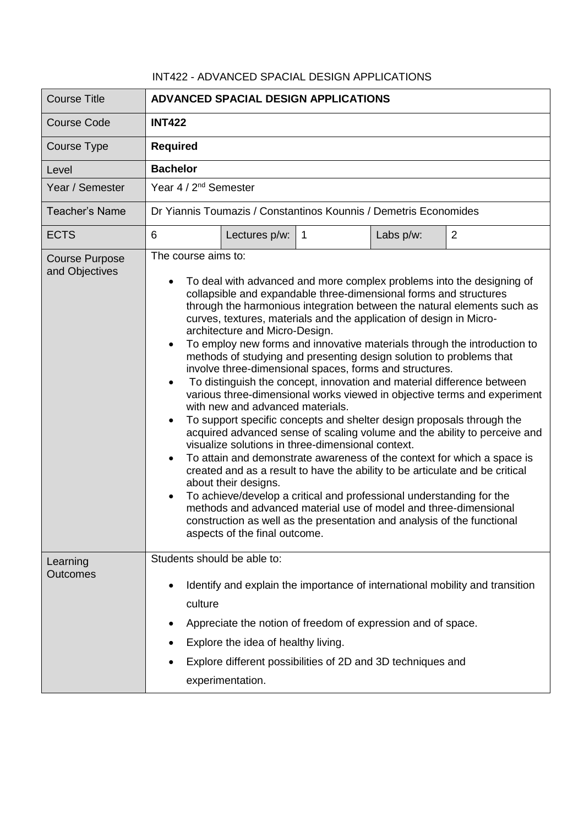## INT422 - ADVANCED SPACIAL DESIGN APPLICATIONS

| <b>Course Title</b>                     | <b>ADVANCED SPACIAL DESIGN APPLICATIONS</b>                                                                                                                                                                                                                                                                                                                                                                                                                                                                                                                                                                                                                                                                                                                                                                                                                                                                                                                                                                                                                                                                                                                                                                                                                                                                                                                                                                                      |  |  |
|-----------------------------------------|----------------------------------------------------------------------------------------------------------------------------------------------------------------------------------------------------------------------------------------------------------------------------------------------------------------------------------------------------------------------------------------------------------------------------------------------------------------------------------------------------------------------------------------------------------------------------------------------------------------------------------------------------------------------------------------------------------------------------------------------------------------------------------------------------------------------------------------------------------------------------------------------------------------------------------------------------------------------------------------------------------------------------------------------------------------------------------------------------------------------------------------------------------------------------------------------------------------------------------------------------------------------------------------------------------------------------------------------------------------------------------------------------------------------------------|--|--|
| <b>Course Code</b>                      | <b>INT422</b>                                                                                                                                                                                                                                                                                                                                                                                                                                                                                                                                                                                                                                                                                                                                                                                                                                                                                                                                                                                                                                                                                                                                                                                                                                                                                                                                                                                                                    |  |  |
| Course Type                             | <b>Required</b>                                                                                                                                                                                                                                                                                                                                                                                                                                                                                                                                                                                                                                                                                                                                                                                                                                                                                                                                                                                                                                                                                                                                                                                                                                                                                                                                                                                                                  |  |  |
| Level                                   | <b>Bachelor</b>                                                                                                                                                                                                                                                                                                                                                                                                                                                                                                                                                                                                                                                                                                                                                                                                                                                                                                                                                                                                                                                                                                                                                                                                                                                                                                                                                                                                                  |  |  |
| Year / Semester                         | Year 4 / 2 <sup>nd</sup> Semester                                                                                                                                                                                                                                                                                                                                                                                                                                                                                                                                                                                                                                                                                                                                                                                                                                                                                                                                                                                                                                                                                                                                                                                                                                                                                                                                                                                                |  |  |
| Teacher's Name                          | Dr Yiannis Toumazis / Constantinos Kounnis / Demetris Economides                                                                                                                                                                                                                                                                                                                                                                                                                                                                                                                                                                                                                                                                                                                                                                                                                                                                                                                                                                                                                                                                                                                                                                                                                                                                                                                                                                 |  |  |
| <b>ECTS</b>                             | $\overline{2}$<br>6<br>Lectures p/w:<br>Labs p/w:<br>$\overline{1}$                                                                                                                                                                                                                                                                                                                                                                                                                                                                                                                                                                                                                                                                                                                                                                                                                                                                                                                                                                                                                                                                                                                                                                                                                                                                                                                                                              |  |  |
| <b>Course Purpose</b><br>and Objectives | The course aims to:<br>To deal with advanced and more complex problems into the designing of<br>collapsible and expandable three-dimensional forms and structures<br>through the harmonious integration between the natural elements such as<br>curves, textures, materials and the application of design in Micro-<br>architecture and Micro-Design.<br>To employ new forms and innovative materials through the introduction to<br>$\bullet$<br>methods of studying and presenting design solution to problems that<br>involve three-dimensional spaces, forms and structures.<br>To distinguish the concept, innovation and material difference between<br>various three-dimensional works viewed in objective terms and experiment<br>with new and advanced materials.<br>To support specific concepts and shelter design proposals through the<br>acquired advanced sense of scaling volume and the ability to perceive and<br>visualize solutions in three-dimensional context.<br>To attain and demonstrate awareness of the context for which a space is<br>created and as a result to have the ability to be articulate and be critical<br>about their designs.<br>To achieve/develop a critical and professional understanding for the<br>methods and advanced material use of model and three-dimensional<br>construction as well as the presentation and analysis of the functional<br>aspects of the final outcome. |  |  |
| Learning<br>Outcomes                    | Students should be able to:<br>Identify and explain the importance of international mobility and transition<br>٠<br>culture<br>Appreciate the notion of freedom of expression and of space.<br>Explore the idea of healthy living.<br>Explore different possibilities of 2D and 3D techniques and<br>experimentation.                                                                                                                                                                                                                                                                                                                                                                                                                                                                                                                                                                                                                                                                                                                                                                                                                                                                                                                                                                                                                                                                                                            |  |  |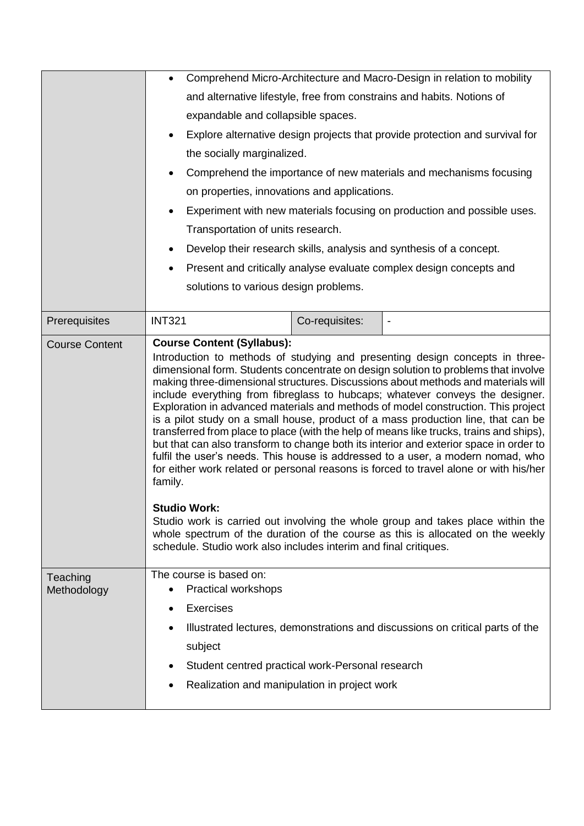|                         | Comprehend Micro-Architecture and Macro-Design in relation to mobility                                                                                                                                                                                                                                                                                                                                                                                                                                                                                                                                                                                                                                                                                                                                                                                                                                                                                                                                                                                                                                                                                                                               |                |                                                                               |  |
|-------------------------|------------------------------------------------------------------------------------------------------------------------------------------------------------------------------------------------------------------------------------------------------------------------------------------------------------------------------------------------------------------------------------------------------------------------------------------------------------------------------------------------------------------------------------------------------------------------------------------------------------------------------------------------------------------------------------------------------------------------------------------------------------------------------------------------------------------------------------------------------------------------------------------------------------------------------------------------------------------------------------------------------------------------------------------------------------------------------------------------------------------------------------------------------------------------------------------------------|----------------|-------------------------------------------------------------------------------|--|
|                         | and alternative lifestyle, free from constrains and habits. Notions of                                                                                                                                                                                                                                                                                                                                                                                                                                                                                                                                                                                                                                                                                                                                                                                                                                                                                                                                                                                                                                                                                                                               |                |                                                                               |  |
|                         | expandable and collapsible spaces.                                                                                                                                                                                                                                                                                                                                                                                                                                                                                                                                                                                                                                                                                                                                                                                                                                                                                                                                                                                                                                                                                                                                                                   |                |                                                                               |  |
|                         | Explore alternative design projects that provide protection and survival for                                                                                                                                                                                                                                                                                                                                                                                                                                                                                                                                                                                                                                                                                                                                                                                                                                                                                                                                                                                                                                                                                                                         |                |                                                                               |  |
|                         | the socially marginalized.                                                                                                                                                                                                                                                                                                                                                                                                                                                                                                                                                                                                                                                                                                                                                                                                                                                                                                                                                                                                                                                                                                                                                                           |                |                                                                               |  |
|                         | Comprehend the importance of new materials and mechanisms focusing                                                                                                                                                                                                                                                                                                                                                                                                                                                                                                                                                                                                                                                                                                                                                                                                                                                                                                                                                                                                                                                                                                                                   |                |                                                                               |  |
|                         | on properties, innovations and applications.                                                                                                                                                                                                                                                                                                                                                                                                                                                                                                                                                                                                                                                                                                                                                                                                                                                                                                                                                                                                                                                                                                                                                         |                |                                                                               |  |
|                         | Experiment with new materials focusing on production and possible uses.<br>Transportation of units research.<br>Develop their research skills, analysis and synthesis of a concept.<br>Present and critically analyse evaluate complex design concepts and<br>solutions to various design problems.                                                                                                                                                                                                                                                                                                                                                                                                                                                                                                                                                                                                                                                                                                                                                                                                                                                                                                  |                |                                                                               |  |
|                         |                                                                                                                                                                                                                                                                                                                                                                                                                                                                                                                                                                                                                                                                                                                                                                                                                                                                                                                                                                                                                                                                                                                                                                                                      |                |                                                                               |  |
|                         |                                                                                                                                                                                                                                                                                                                                                                                                                                                                                                                                                                                                                                                                                                                                                                                                                                                                                                                                                                                                                                                                                                                                                                                                      |                |                                                                               |  |
|                         |                                                                                                                                                                                                                                                                                                                                                                                                                                                                                                                                                                                                                                                                                                                                                                                                                                                                                                                                                                                                                                                                                                                                                                                                      |                |                                                                               |  |
|                         |                                                                                                                                                                                                                                                                                                                                                                                                                                                                                                                                                                                                                                                                                                                                                                                                                                                                                                                                                                                                                                                                                                                                                                                                      |                |                                                                               |  |
|                         |                                                                                                                                                                                                                                                                                                                                                                                                                                                                                                                                                                                                                                                                                                                                                                                                                                                                                                                                                                                                                                                                                                                                                                                                      |                |                                                                               |  |
| Prerequisites           | <b>INT321</b>                                                                                                                                                                                                                                                                                                                                                                                                                                                                                                                                                                                                                                                                                                                                                                                                                                                                                                                                                                                                                                                                                                                                                                                        | Co-requisites: |                                                                               |  |
| <b>Course Content</b>   | <b>Course Content (Syllabus):</b><br>Introduction to methods of studying and presenting design concepts in three-<br>dimensional form. Students concentrate on design solution to problems that involve<br>making three-dimensional structures. Discussions about methods and materials will<br>include everything from fibreglass to hubcaps; whatever conveys the designer.<br>Exploration in advanced materials and methods of model construction. This project<br>is a pilot study on a small house, product of a mass production line, that can be<br>transferred from place to place (with the help of means like trucks, trains and ships),<br>but that can also transform to change both its interior and exterior space in order to<br>fulfil the user's needs. This house is addressed to a user, a modern nomad, who<br>for either work related or personal reasons is forced to travel alone or with his/her<br>family.<br><b>Studio Work:</b><br>Studio work is carried out involving the whole group and takes place within the<br>whole spectrum of the duration of the course as this is allocated on the weekly<br>schedule. Studio work also includes interim and final critiques. |                |                                                                               |  |
| Teaching<br>Methodology | The course is based on:<br>Practical workshops<br><b>Exercises</b><br>$\bullet$<br>subject<br>Student centred practical work-Personal research<br>Realization and manipulation in project work<br>٠                                                                                                                                                                                                                                                                                                                                                                                                                                                                                                                                                                                                                                                                                                                                                                                                                                                                                                                                                                                                  |                | Illustrated lectures, demonstrations and discussions on critical parts of the |  |